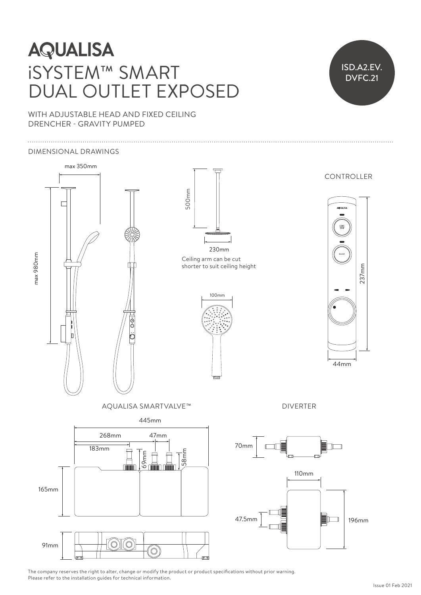# **AQUALISA** iSYSTEM™ SMART DUAL OUTLET EXPOSED



WITH ADJUSTABLE HEAD AND FIXED CEILING DRENCHER - GRAVITY PUMPED

#### DIMENSIONAL DRAWINGS



The company reserves the right to alter, change or modify the product or product specifications without prior warning. Please refer to the installation guides for technical information.